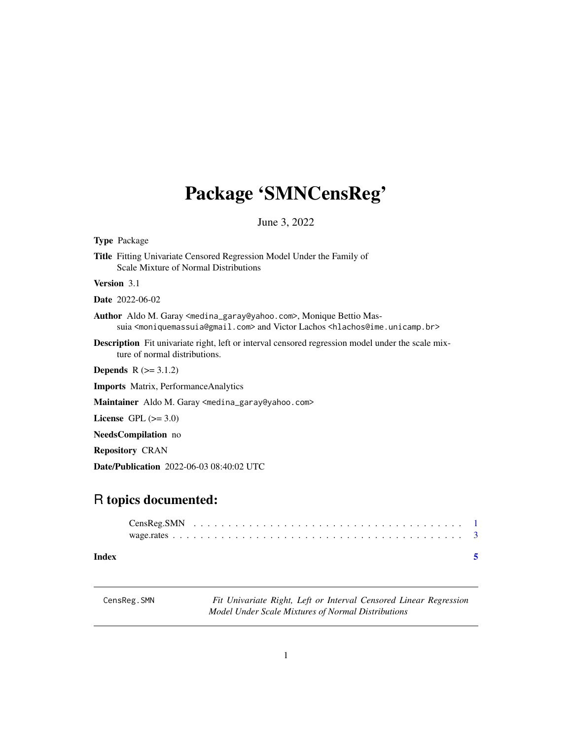## <span id="page-0-0"></span>Package 'SMNCensReg'

June 3, 2022

| <b>Type Package</b>                                                                                                                                                                                                                   |
|---------------------------------------------------------------------------------------------------------------------------------------------------------------------------------------------------------------------------------------|
| <b>Title</b> Fitting Univariate Censored Regression Model Under the Family of<br>Scale Mixture of Normal Distributions                                                                                                                |
| <b>Version</b> 3.1                                                                                                                                                                                                                    |
| <b>Date</b> 2022-06-02                                                                                                                                                                                                                |
| <b>Author</b> Aldo M. Garay <medina_garay@yahoo.com>, Monique Bettio Mas-<br/>suia <moniquemassuia@gmail.com> and Victor Lachos <hlachos@ime.unicamp.br></hlachos@ime.unicamp.br></moniquemassuia@gmail.com></medina_garay@yahoo.com> |
| <b>Description</b> Fit univariate right, left or interval censored regression model under the scale mix-<br>ture of normal distributions.                                                                                             |
| <b>Depends</b> $R (= 3.1.2)$                                                                                                                                                                                                          |
| <b>Imports</b> Matrix, Performance Analytics                                                                                                                                                                                          |
| <b>Maintainer</b> Aldo M. Garay <medina_garay@yahoo.com></medina_garay@yahoo.com>                                                                                                                                                     |
| License GPL $(>= 3.0)$                                                                                                                                                                                                                |
| <b>NeedsCompilation</b> no                                                                                                                                                                                                            |
| <b>Repository CRAN</b>                                                                                                                                                                                                                |
| <b>Date/Publication</b> 2022-06-03 08:40:02 UTC                                                                                                                                                                                       |

### R topics documented:

| Index |  |  |  |  |  |  |  |  |  |  |  |  |  |  |  |  |  |
|-------|--|--|--|--|--|--|--|--|--|--|--|--|--|--|--|--|--|

CensReg.SMN *Fit Univariate Right, Left or Interval Censored Linear Regression Model Under Scale Mixtures of Normal Distributions*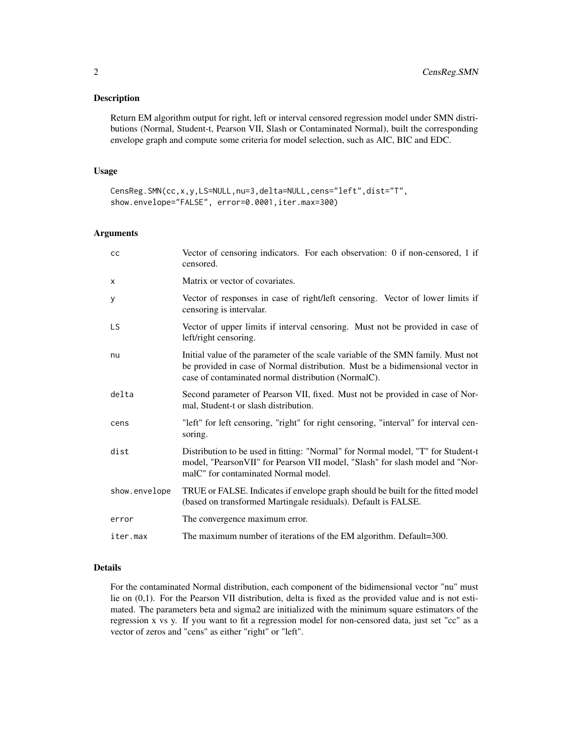#### Description

Return EM algorithm output for right, left or interval censored regression model under SMN distributions (Normal, Student-t, Pearson VII, Slash or Contaminated Normal), built the corresponding envelope graph and compute some criteria for model selection, such as AIC, BIC and EDC.

#### Usage

```
CensReg.SMN(cc,x,y,LS=NULL,nu=3,delta=NULL,cens="left",dist="T",
show.envelope="FALSE", error=0.0001,iter.max=300)
```
#### Arguments

| cc            | Vector of censoring indicators. For each observation: 0 if non-censored, 1 if<br>censored.                                                                                                                               |
|---------------|--------------------------------------------------------------------------------------------------------------------------------------------------------------------------------------------------------------------------|
| $\times$      | Matrix or vector of covariates.                                                                                                                                                                                          |
| У             | Vector of responses in case of right/left censoring. Vector of lower limits if<br>censoring is intervalar.                                                                                                               |
| <b>LS</b>     | Vector of upper limits if interval censoring. Must not be provided in case of<br>left/right censoring.                                                                                                                   |
| nu            | Initial value of the parameter of the scale variable of the SMN family. Must not<br>be provided in case of Normal distribution. Must be a bidimensional vector in<br>case of contaminated normal distribution (NormalC). |
| delta         | Second parameter of Pearson VII, fixed. Must not be provided in case of Nor-<br>mal, Student-t or slash distribution.                                                                                                    |
| cens          | "left" for left censoring, "right" for right censoring, "interval" for interval cen-<br>soring.                                                                                                                          |
| dist          | Distribution to be used in fitting: "Normal" for Normal model, "T" for Student-t<br>model, "Pearson VII" for Pearson VII model, "Slash" for slash model and "Nor-<br>malC" for contaminated Normal model.                |
| show.envelope | TRUE or FALSE. Indicates if envelope graph should be built for the fitted model<br>(based on transformed Martingale residuals). Default is FALSE.                                                                        |
| error         | The convergence maximum error.                                                                                                                                                                                           |
| iter.max      | The maximum number of iterations of the EM algorithm. Default=300.                                                                                                                                                       |

#### Details

For the contaminated Normal distribution, each component of the bidimensional vector "nu" must lie on (0,1). For the Pearson VII distribution, delta is fixed as the provided value and is not estimated. The parameters beta and sigma2 are initialized with the minimum square estimators of the regression x vs y. If you want to fit a regression model for non-censored data, just set "cc" as a vector of zeros and "cens" as either "right" or "left".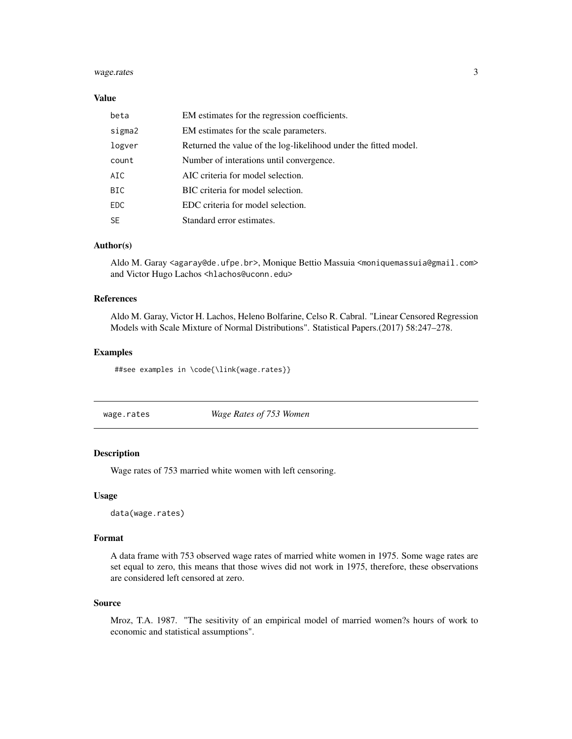#### <span id="page-2-0"></span>wage.rates 3

#### Value

| beta       | EM estimates for the regression coefficients.                    |
|------------|------------------------------------------------------------------|
| sigma2     | EM estimates for the scale parameters.                           |
| logver     | Returned the value of the log-likelihood under the fitted model. |
| count      | Number of interations until convergence.                         |
| AIC        | AIC criteria for model selection.                                |
| <b>BIC</b> | BIC criteria for model selection.                                |
| <b>EDC</b> | EDC criteria for model selection.                                |
| <b>SE</b>  | Standard error estimates.                                        |

#### Author(s)

Aldo M. Garay <agaray@de.ufpe.br>, Monique Bettio Massuia <moniquemassuia@gmail.com> and Victor Hugo Lachos <hlachos@uconn.edu>

#### References

Aldo M. Garay, Victor H. Lachos, Heleno Bolfarine, Celso R. Cabral. "Linear Censored Regression Models with Scale Mixture of Normal Distributions". Statistical Papers.(2017) 58:247–278.

#### Examples

##see examples in \code{\link{wage.rates}}

wage.rates *Wage Rates of 753 Women*

#### Description

Wage rates of 753 married white women with left censoring.

#### Usage

data(wage.rates)

#### Format

A data frame with 753 observed wage rates of married white women in 1975. Some wage rates are set equal to zero, this means that those wives did not work in 1975, therefore, these observations are considered left censored at zero.

#### Source

Mroz, T.A. 1987. "The sesitivity of an empirical model of married women?s hours of work to economic and statistical assumptions".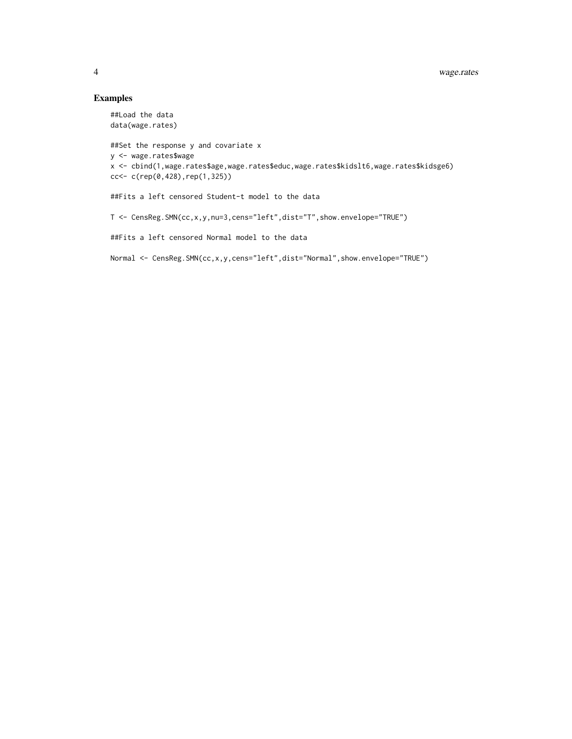#### Examples

```
##Load the data
data(wage.rates)
##Set the response y and covariate x
y <- wage.rates$wage
x <- cbind(1,wage.rates$age,wage.rates$educ,wage.rates$kidslt6,wage.rates$kidsge6)
cc<- c(rep(0,428),rep(1,325))
##Fits a left censored Student-t model to the data
T <- CensReg.SMN(cc,x,y,nu=3,cens="left",dist="T",show.envelope="TRUE")
##Fits a left censored Normal model to the data
Normal <- CensReg.SMN(cc,x,y,cens="left",dist="Normal",show.envelope="TRUE")
```